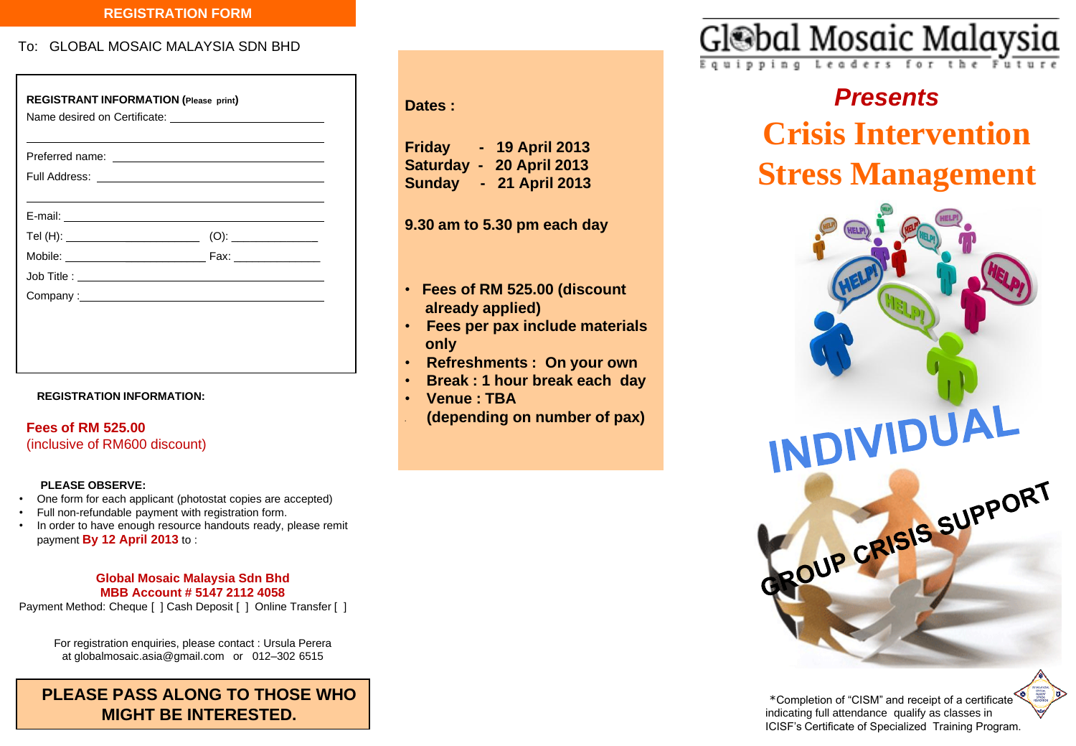#### **REGISTRATION FORM**

To: GLOBAL MOSAIC MALAYSIA SDN BHD

|  | Company: <u>company:</u> |  |
|--|--------------------------|--|

#### **REGISTRATION INFORMATION:**

**Fees of RM 525.00**  (inclusive of RM600 discount)

#### **PLEASE OBSERVE:**

- One form for each applicant (photostat copies are accepted)
- Full non-refundable payment with registration form.
- In order to have enough resource handouts ready, please remit payment **By 12 April 2013** to :

#### **Global Mosaic Malaysia Sdn Bhd MBB Account # 5147 2112 4058**

Payment Method: Cheque [ ] Cash Deposit [ ] Online Transfer [ ]

For registration enquiries, please contact : Ursula Perera at globalmosaic.asia@gmail.com or 012–302 6515

**PLEASE PASS ALONG TO THOSE WHO MIGHT BE INTERESTED.** 

### **Dates :**

| <b>Friday</b> | н. | <b>19 April 2013</b> |
|---------------|----|----------------------|
| Saturday -    |    | <b>20 April 2013</b> |
| <b>Sunday</b> |    | - 21 April 2013      |

**9.30 am to 5.30 pm each day**

- • **Fees of RM 525.00 (discount already applied)**
- • **Fees per pax include materials only**
- • **Refreshments : On your own**
- • **Break : 1 hour break each day**
- • **Venue : TBA**
- • **(depending on number of pax)**



# *Presents* **Crisis Intervention Stress Management**



\*Completion of "CISM" and receipt of a certificate indicating full attendance qualify as classes in ICISF's Certificate of Specialized Training Program.